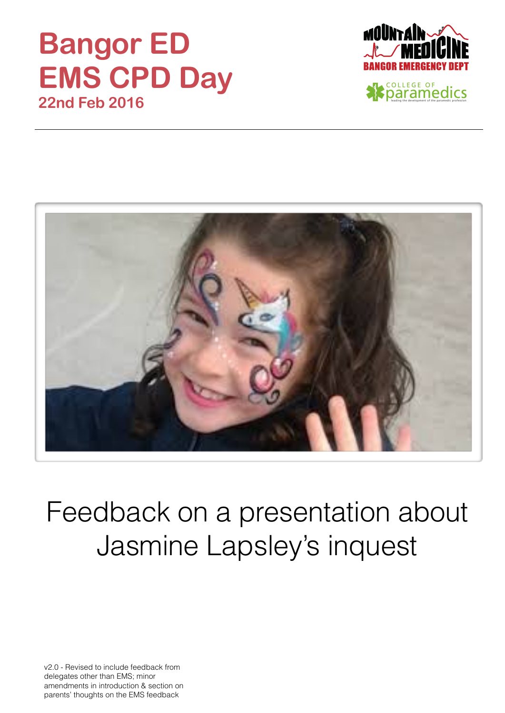### **Bangor ED EMS CPD Day 22nd Feb 2016**





## Feedback on a presentation about Jasmine Lapsley's inquest

v2.0 - Revised to include feedback from delegates other than EMS; minor amendments in introduction & section on parents' thoughts on the EMS feedback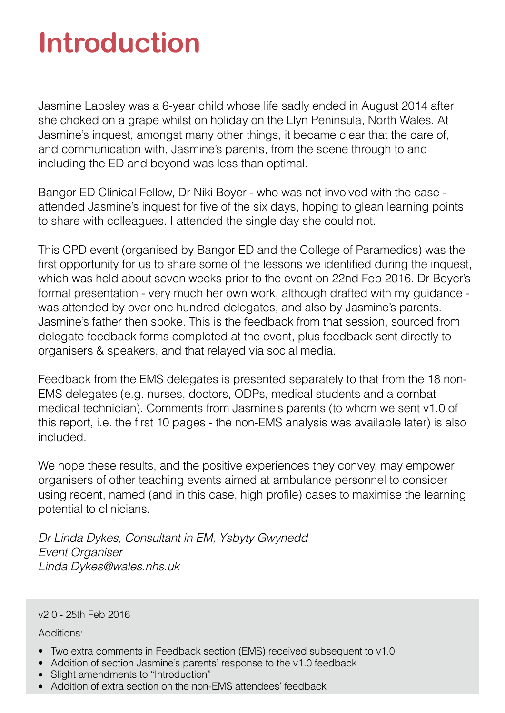# **Introduction**

Jasmine Lapsley was a 6-year child whose life sadly ended in August 2014 after she choked on a grape whilst on holiday on the Llyn Peninsula, North Wales. At Jasmine's inquest, amongst many other things, it became clear that the care of, and communication with, Jasmine's parents, from the scene through to and including the ED and beyond was less than optimal.

Bangor ED Clinical Fellow, Dr Niki Boyer - who was not involved with the case attended Jasmine's inquest for five of the six days, hoping to glean learning points to share with colleagues. I attended the single day she could not.

This CPD event (organised by Bangor ED and the College of Paramedics) was the first opportunity for us to share some of the lessons we identified during the inquest, which was held about seven weeks prior to the event on 22nd Feb 2016. Dr Boyer's formal presentation - very much her own work, although drafted with my guidance was attended by over one hundred delegates, and also by Jasmine's parents. Jasmine's father then spoke. This is the feedback from that session, sourced from delegate feedback forms completed at the event, plus feedback sent directly to organisers & speakers, and that relayed via social media.

Feedback from the EMS delegates is presented separately to that from the 18 non-EMS delegates (e.g. nurses, doctors, ODPs, medical students and a combat medical technician). Comments from Jasmine's parents (to whom we sent v1.0 of this report, i.e. the first 10 pages - the non-EMS analysis was available later) is also included.

We hope these results, and the positive experiences they convey, may empower organisers of other teaching events aimed at ambulance personnel to consider using recent, named (and in this case, high profile) cases to maximise the learning potential to clinicians.

*Dr Linda Dykes, Consultant in EM, Ysbyty Gwynedd Event Organiser Linda.Dykes@wales.nhs.uk* 

#### v2.0 - 25th Feb 2016

Additions:

- Two extra comments in Feedback section (EMS) received subsequent to v1.0
- Addition of section Jasmine's parents' response to the v1.0 feedback
- Slight amendments to "Introduction"
- Addition of extra section on the non-EMS attendees' feedback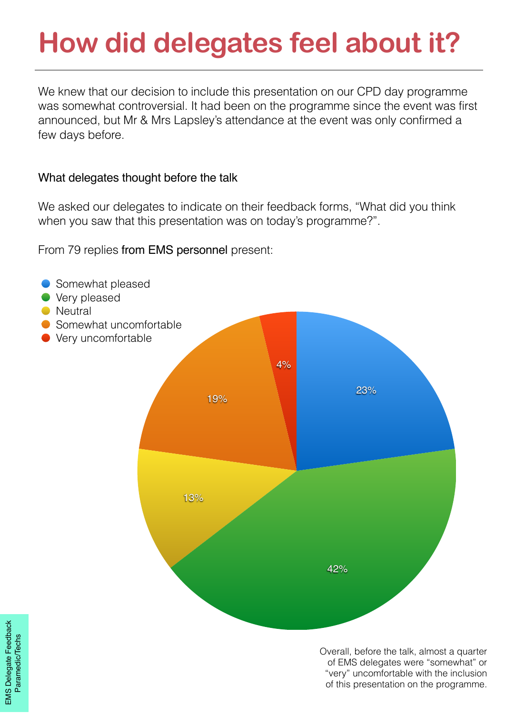# **How did delegates feel about it?**

We knew that our decision to include this presentation on our CPD day programme was somewhat controversial. It had been on the programme since the event was first announced, but Mr & Mrs Lapsley's attendance at the event was only confirmed a few days before.

### What delegates thought before the talk

We asked our delegates to indicate on their feedback forms, "What did you think when you saw that this presentation was on today's programme?".

From 79 replies from EMS personnel present:



Overall, before the talk, almost a quarter of EMS delegates were "somewhat" or "very" uncomfortable with the inclusion of this presentation on the programme.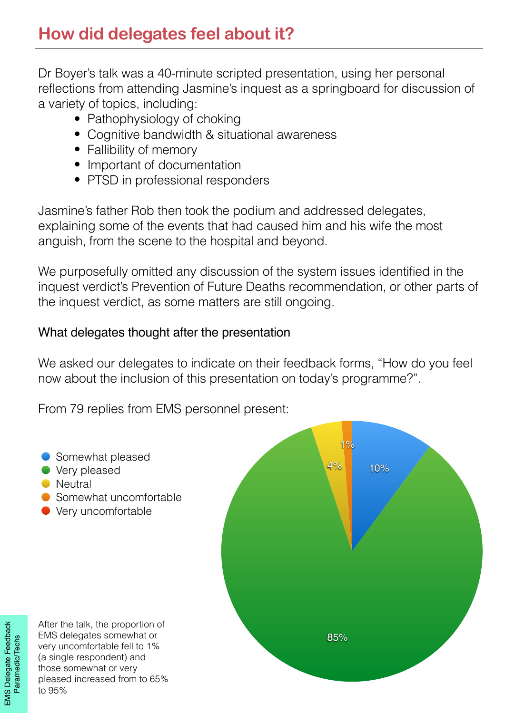Dr Boyer's talk was a 40-minute scripted presentation, using her personal reflections from attending Jasmine's inquest as a springboard for discussion of a variety of topics, including:

- Pathophysiology of choking
- Cognitive bandwidth & situational awareness
- Fallibility of memory
- Important of documentation
- PTSD in professional responders

Jasmine's father Rob then took the podium and addressed delegates, explaining some of the events that had caused him and his wife the most anguish, from the scene to the hospital and beyond.

We purposefully omitted any discussion of the system issues identified in the inquest verdict's Prevention of Future Deaths recommendation, or other parts of the inquest verdict, as some matters are still ongoing.

### What delegates thought after the presentation

We asked our delegates to indicate on their feedback forms, "How do you feel now about the inclusion of this presentation on today's programme?".

From 79 replies from EMS personnel present:

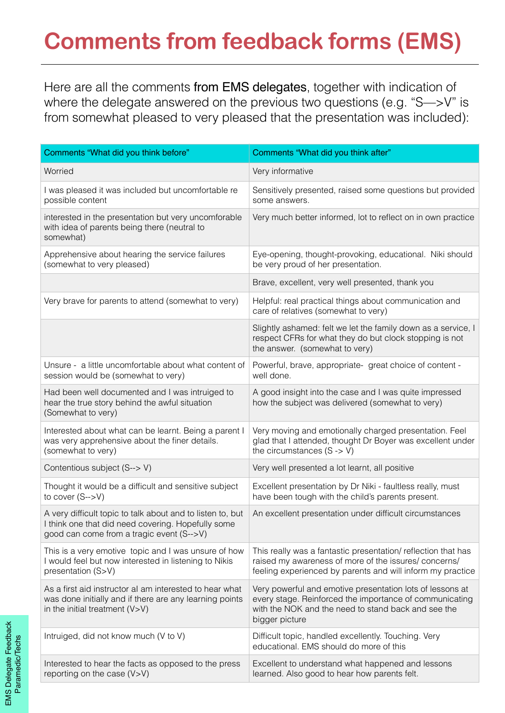### **Comments from feedback forms (EMS)**

Here are all the comments from EMS delegates, together with indication of where the delegate answered on the previous two questions (e.g. "S—>V" is from somewhat pleased to very pleased that the presentation was included):

| Comments "What did you think before"                                                                                                                          | Comments "What did you think after"                                                                                                                                                           |
|---------------------------------------------------------------------------------------------------------------------------------------------------------------|-----------------------------------------------------------------------------------------------------------------------------------------------------------------------------------------------|
| Worried                                                                                                                                                       | Very informative                                                                                                                                                                              |
| I was pleased it was included but uncomfortable re<br>possible content                                                                                        | Sensitively presented, raised some questions but provided<br>some answers.                                                                                                                    |
| interested in the presentation but very uncomforable<br>with idea of parents being there (neutral to<br>somewhat)                                             | Very much better informed, lot to reflect on in own practice                                                                                                                                  |
| Apprehensive about hearing the service failures<br>(somewhat to very pleased)                                                                                 | Eye-opening, thought-provoking, educational. Niki should<br>be very proud of her presentation.                                                                                                |
|                                                                                                                                                               | Brave, excellent, very well presented, thank you                                                                                                                                              |
| Very brave for parents to attend (somewhat to very)                                                                                                           | Helpful: real practical things about communication and<br>care of relatives (somewhat to very)                                                                                                |
|                                                                                                                                                               | Slightly ashamed: felt we let the family down as a service, I<br>respect CFRs for what they do but clock stopping is not<br>the answer. (somewhat to very)                                    |
| Unsure - a little uncomfortable about what content of<br>session would be (somewhat to very)                                                                  | Powerful, brave, appropriate-great choice of content -<br>well done.                                                                                                                          |
| Had been well documented and I was intruiged to<br>hear the true story behind the awful situation<br>(Somewhat to very)                                       | A good insight into the case and I was quite impressed<br>how the subject was delivered (somewhat to very)                                                                                    |
| Interested about what can be learnt. Being a parent I<br>was very apprehensive about the finer details.<br>(somewhat to very)                                 | Very moving and emotionally charged presentation. Feel<br>glad that I attended, thought Dr Boyer was excellent under<br>the circumstances $(S \rightarrow V)$                                 |
| Contentious subject (S--> V)                                                                                                                                  | Very well presented a lot learnt, all positive                                                                                                                                                |
| Thought it would be a difficult and sensitive subject<br>to cover $(S\rightarrow V)$                                                                          | Excellent presentation by Dr Niki - faultless really, must<br>have been tough with the child's parents present.                                                                               |
| A very difficult topic to talk about and to listen to, but<br>I think one that did need covering. Hopefully some<br>good can come from a tragic event (S-->V) | An excellent presentation under difficult circumstances                                                                                                                                       |
| This is a very emotive topic and I was unsure of how<br>I would feel but now interested in listening to Nikis<br>presentation (S>V)                           | This really was a fantastic presentation/ reflection that has<br>raised my awareness of more of the issures/concerns/<br>feeling experienced by parents and will inform my practice           |
| As a first aid instructor al am interested to hear what<br>was done initially and if there are any learning points<br>in the initial treatment $(V>V)$        | Very powerful and emotive presentation lots of lessons at<br>every stage. Reinforced the importance of communicating<br>with the NOK and the need to stand back and see the<br>bigger picture |
| Intruiged, did not know much (V to V)                                                                                                                         | Difficult topic, handled excellently. Touching. Very<br>educational. EMS should do more of this                                                                                               |
| Interested to hear the facts as opposed to the press<br>reporting on the case (V>V)                                                                           | Excellent to understand what happened and lessons<br>learned. Also good to hear how parents felt.                                                                                             |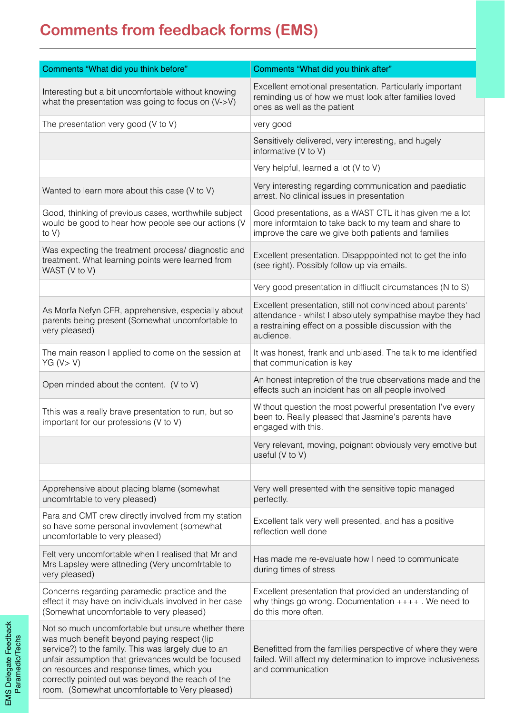### **Comments from feedback forms (EMS)**

| Comments "What did you think before"                                                                                                                                                                                                                                                                                                                                | Comments "What did you think after"                                                                                                                                                             |
|---------------------------------------------------------------------------------------------------------------------------------------------------------------------------------------------------------------------------------------------------------------------------------------------------------------------------------------------------------------------|-------------------------------------------------------------------------------------------------------------------------------------------------------------------------------------------------|
| Interesting but a bit uncomfortable without knowing<br>what the presentation was going to focus on (V->V)                                                                                                                                                                                                                                                           | Excellent emotional presentation. Particularly important<br>reminding us of how we must look after families loved<br>ones as well as the patient                                                |
| The presentation very good (V to V)                                                                                                                                                                                                                                                                                                                                 | very good                                                                                                                                                                                       |
|                                                                                                                                                                                                                                                                                                                                                                     | Sensitively delivered, very interesting, and hugely<br>informative (V to V)                                                                                                                     |
|                                                                                                                                                                                                                                                                                                                                                                     | Very helpful, learned a lot (V to V)                                                                                                                                                            |
| Wanted to learn more about this case (V to V)                                                                                                                                                                                                                                                                                                                       | Very interesting regarding communication and paediatic<br>arrest. No clinical issues in presentation                                                                                            |
| Good, thinking of previous cases, worthwhile subject<br>would be good to hear how people see our actions (V<br>to $V$ )                                                                                                                                                                                                                                             | Good presentations, as a WAST CTL it has given me a lot<br>more informtaion to take back to my team and share to<br>improve the care we give both patients and families                         |
| Was expecting the treatment process/ diagnostic and<br>treatment. What learning points were learned from<br>WAST (V to V)                                                                                                                                                                                                                                           | Excellent presentation. Disapppointed not to get the info<br>(see right). Possibly follow up via emails.                                                                                        |
|                                                                                                                                                                                                                                                                                                                                                                     | Very good presentation in diffiucit circumstances (N to S)                                                                                                                                      |
| As Morfa Nefyn CFR, apprehensive, especially about<br>parents being present (Somewhat uncomfortable to<br>very pleased)                                                                                                                                                                                                                                             | Excellent presentation, still not convinced about parents'<br>attendance - whilst I absolutely sympathise maybe they had<br>a restraining effect on a possible discussion with the<br>audience. |
| The main reason I applied to come on the session at<br>YG (V > V)                                                                                                                                                                                                                                                                                                   | It was honest, frank and unbiased. The talk to me identified<br>that communication is key                                                                                                       |
| Open minded about the content. (V to V)                                                                                                                                                                                                                                                                                                                             | An honest intepretion of the true observations made and the<br>effects such an incident has on all people involved                                                                              |
| Tthis was a really brave presentation to run, but so<br>important for our professions (V to V)                                                                                                                                                                                                                                                                      | Without question the most powerful presentation I've every<br>been to. Really pleased that Jasmine's parents have<br>engaged with this.                                                         |
|                                                                                                                                                                                                                                                                                                                                                                     | Very relevant, moving, poignant obviously very emotive but<br>useful (V to V)                                                                                                                   |
|                                                                                                                                                                                                                                                                                                                                                                     |                                                                                                                                                                                                 |
| Apprehensive about placing blame (somewhat<br>uncomfrtable to very pleased)                                                                                                                                                                                                                                                                                         | Very well presented with the sensitive topic managed<br>perfectly.                                                                                                                              |
| Para and CMT crew directly involved from my station<br>so have some personal invovlement (somewhat<br>uncomfortable to very pleased)                                                                                                                                                                                                                                | Excellent talk very well presented, and has a positive<br>reflection well done                                                                                                                  |
| Felt very uncomfortable when I realised that Mr and<br>Mrs Lapsley were attneding (Very uncomfrtable to<br>very pleased)                                                                                                                                                                                                                                            | Has made me re-evaluate how I need to communicate<br>during times of stress                                                                                                                     |
| Concerns regarding paramedic practice and the<br>effect it may have on individuals involved in her case<br>(Somewhat uncomfortable to very pleased)                                                                                                                                                                                                                 | Excellent presentation that provided an understanding of<br>why things go wrong. Documentation $++++$ . We need to<br>do this more often.                                                       |
| Not so much uncomfortable but unsure whether there<br>was much benefit beyond paying respect (lip<br>service?) to the family. This was largely due to an<br>unfair assumption that grievances would be focused<br>on resources and response times, which you<br>correctly pointed out was beyond the reach of the<br>room. (Somewhat uncomfortable to Very pleased) | Benefitted from the families perspective of where they were<br>failed. Will affect my determination to improve inclusiveness<br>and communication                                               |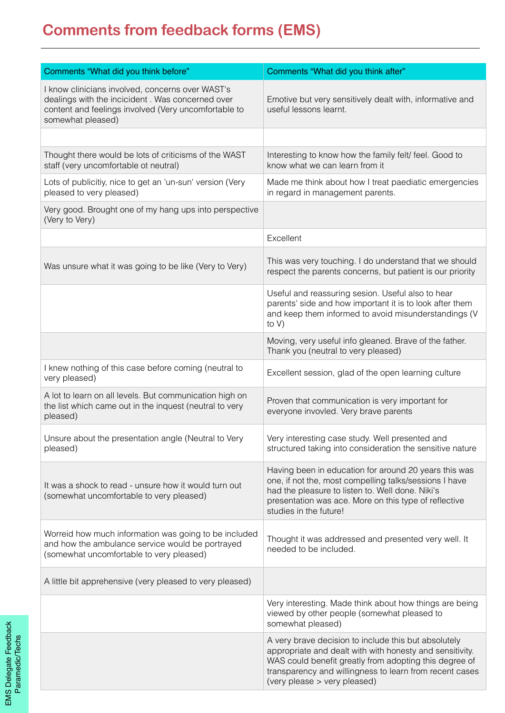### **Comments from feedback forms (EMS)**

| Comments "What did you think before"                                                                                                                                              | Comments "What did you think after"                                                                                                                                                                                                                                   |
|-----------------------------------------------------------------------------------------------------------------------------------------------------------------------------------|-----------------------------------------------------------------------------------------------------------------------------------------------------------------------------------------------------------------------------------------------------------------------|
| I know clinicians involved, concerns over WAST's<br>dealings with the incicident. Was concerned over<br>content and feelings involved (Very uncomfortable to<br>somewhat pleased) | Emotive but very sensitively dealt with, informative and<br>useful lessons learnt.                                                                                                                                                                                    |
|                                                                                                                                                                                   |                                                                                                                                                                                                                                                                       |
| Thought there would be lots of criticisms of the WAST<br>staff (very uncomfortable ot neutral)                                                                                    | Interesting to know how the family felt/ feel. Good to<br>know what we can learn from it                                                                                                                                                                              |
| Lots of publicitiy, nice to get an 'un-sun' version (Very<br>pleased to very pleased)                                                                                             | Made me think about how I treat paediatic emergencies<br>in regard in management parents.                                                                                                                                                                             |
| Very good. Brought one of my hang ups into perspective<br>(Very to Very)                                                                                                          |                                                                                                                                                                                                                                                                       |
|                                                                                                                                                                                   | Excellent                                                                                                                                                                                                                                                             |
| Was unsure what it was going to be like (Very to Very)                                                                                                                            | This was very touching. I do understand that we should<br>respect the parents concerns, but patient is our priority                                                                                                                                                   |
|                                                                                                                                                                                   | Useful and reassuring sesion. Useful also to hear<br>parents' side and how important it is to look after them<br>and keep them informed to avoid misunderstandings (V<br>to $V$ )                                                                                     |
|                                                                                                                                                                                   | Moving, very useful info gleaned. Brave of the father.<br>Thank you (neutral to very pleased)                                                                                                                                                                         |
| I knew nothing of this case before coming (neutral to<br>very pleased)                                                                                                            | Excellent session, glad of the open learning culture                                                                                                                                                                                                                  |
| A lot to learn on all levels. But communication high on<br>the list which came out in the inquest (neutral to very<br>pleased)                                                    | Proven that communication is very important for<br>everyone invovled. Very brave parents                                                                                                                                                                              |
| Unsure about the presentation angle (Neutral to Very<br>pleased)                                                                                                                  | Very interesting case study. Well presented and<br>structured taking into consideration the sensitive nature                                                                                                                                                          |
| It was a shock to read - unsure how it would turn out<br>(somewhat uncomfortable to very pleased)                                                                                 | Having been in education for around 20 years this was<br>one, if not the, most compelling talks/sessions I have<br>had the pleasure to listen to. Well done. Niki's<br>presentation was ace. More on this type of reflective<br>studies in the future!                |
| Worreid how much information was going to be included<br>and how the ambulance service would be portrayed<br>(somewhat uncomfortable to very pleased)                             | Thought it was addressed and presented very well. It<br>needed to be included.                                                                                                                                                                                        |
| A little bit apprehensive (very pleased to very pleased)                                                                                                                          |                                                                                                                                                                                                                                                                       |
|                                                                                                                                                                                   | Very interesting. Made think about how things are being<br>viewed by other people (somewhat pleased to<br>somewhat pleased)                                                                                                                                           |
|                                                                                                                                                                                   | A very brave decision to include this but absolutely<br>appropriate and dealt with with honesty and sensitivity.<br>WAS could benefit greatly from adopting this degree of<br>transparency and willingness to learn from recent cases<br>(very please > very pleased) |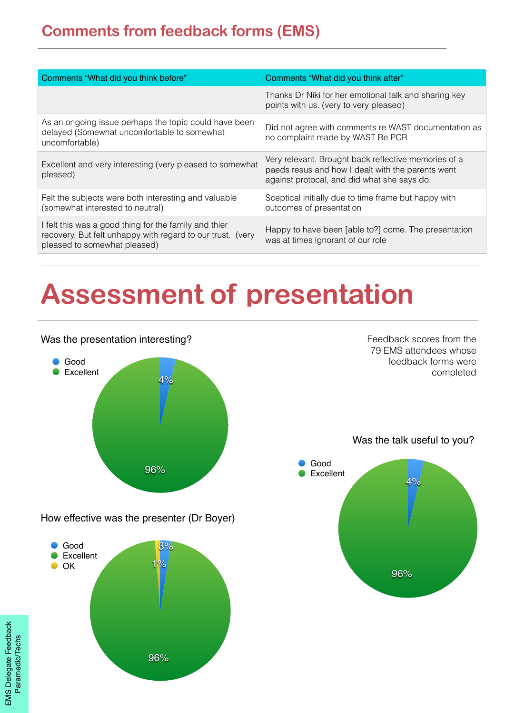| Comments "What did you think before"                                                                                                                | Comments "What did you think after"                                                                                                                      |
|-----------------------------------------------------------------------------------------------------------------------------------------------------|----------------------------------------------------------------------------------------------------------------------------------------------------------|
|                                                                                                                                                     | Thanks Dr Niki for her emotional talk and sharing key<br>points with us. (very to very pleased)                                                          |
| As an ongoing issue perhaps the topic could have been<br>delayed (Somewhat uncomfortable to somewhat<br>uncomfortable)                              | Did not agree with comments re WAST documentation as<br>no complaint made by WAST Re PCR                                                                 |
| Excellent and very interesting (very pleased to somewhat<br>pleased)                                                                                | Very relevant. Brought back reflective memories of a<br>paeds resus and how I dealt with the parents went<br>against protocal, and did what she says do. |
| Felt the subjects were both interesting and valuable<br>(somewhat interested to neutral)                                                            | Sceptical initially due to time frame but happy with<br>outcomes of presentation                                                                         |
| I felt this was a good thing for the family and thier<br>recovery. But felt unhappy with regard to our trust. (very<br>pleased to somewhat pleased) | Happy to have been [able to?] come. The presentation<br>was at times ignorant of our role                                                                |

# **Assessment of presentation**

#### Was the presentation interesting?



How effective was the presenter (Dr Boyer)



Feedback scores from the 79 EMS attendees whose feedback forms were completed

Was the talk useful to you?

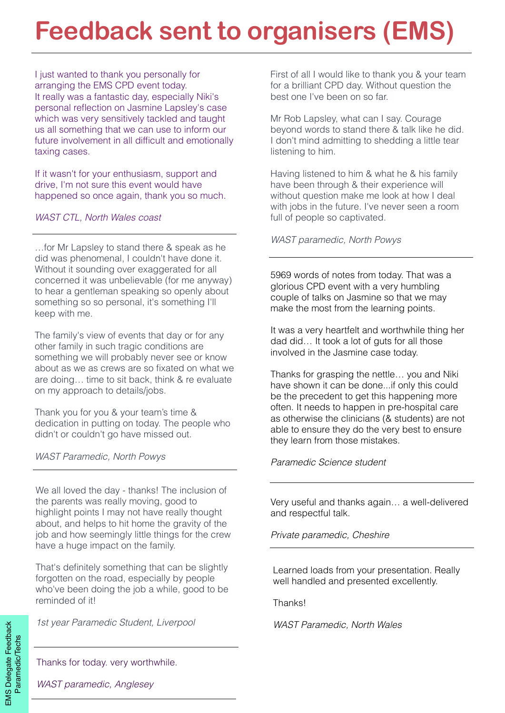### **Feedback sent to organisers (EMS)**

I just wanted to thank you personally for arranging the EMS CPD event today. It really was a fantastic day, especially Niki's personal reflection on Jasmine Lapsley's case which was very sensitively tackled and taught us all something that we can use to inform our future involvement in all difficult and emotionally taxing cases.

If it wasn't for your enthusiasm, support and drive, I'm not sure this event would have happened so once again, thank you so much.

#### *WAST CTL, North Wales coast*

*WAST paramedic, North Powys* …for Mr Lapsley to stand there & speak as he did was phenomenal, I couldn't have done it. Without it sounding over exaggerated for all concerned it was unbelievable (for me anyway) to hear a gentleman speaking so openly about something so so personal, it's something I'll keep with me.

The family's view of events that day or for any other family in such tragic conditions are something we will probably never see or know about as we as crews are so fixated on what we are doing… time to sit back, think & re evaluate on my approach to details/jobs.

Thank you for you & your team's time & dedication in putting on today. The people who didn't or couldn't go have missed out.

*WAST Paramedic, North Powys*

We all loved the day - thanks! The inclusion of the parents was really moving, good to highlight points I may not have really thought about, and helps to hit home the gravity of the job and how seemingly little things for the crew have a huge impact on the family.

That's definitely something that can be slightly forgotten on the road, especially by people who've been doing the job a while, good to be reminded of it!

*1st year Paramedic Student, Liverpool*

First of all I would like to thank you & your team for a brilliant CPD day. Without question the best one I've been on so far.

Mr Rob Lapsley, what can I say. Courage beyond words to stand there & talk like he did. I don't mind admitting to shedding a little tear listening to him.

Having listened to him & what he & his family have been through & their experience will without question make me look at how I deal with jobs in the future. I've never seen a room full of people so captivated.

5969 words of notes from today. That was a glorious CPD event with a very humbling couple of talks on Jasmine so that we may make the most from the learning points.

It was a very heartfelt and worthwhile thing her dad did… It took a lot of guts for all those involved in the Jasmine case today.

Thanks for grasping the nettle… you and Niki have shown it can be done...if only this could be the precedent to get this happening more often. It needs to happen in pre-hospital care as otherwise the clinicians (& students) are not able to ensure they do the very best to ensure they learn from those mistakes.

#### *Paramedic Science student*

Very useful and thanks again… a well-delivered and respectful talk.

*Private paramedic, Cheshire*

Learned loads from your presentation. Really well handled and presented excellently.

Thanks!

*WAST Paramedic, North Wales* 

Thanks for today. very worthwhile.

*WAST paramedic, Anglesey*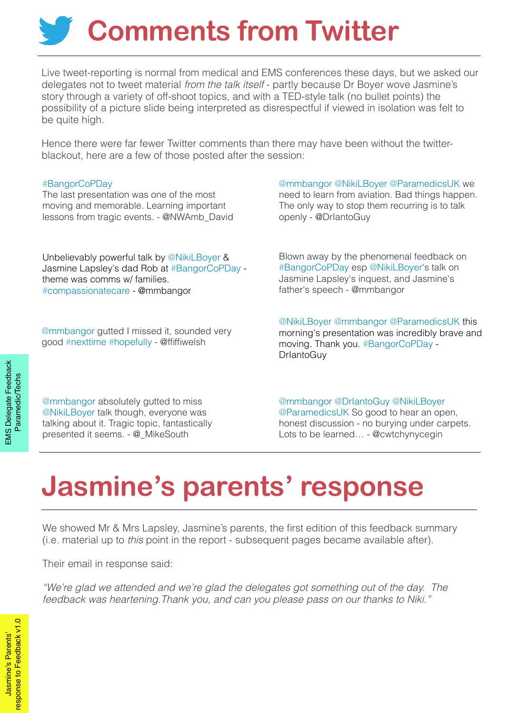# **Comments from Twitter**

Live tweet-reporting is normal from medical and EMS conferences these days, but we asked our delegates not to tweet material *from the talk itself* - partly because Dr Boyer wove Jasmine's story through a variety of off-shoot topics, and with a TED-style talk (no bullet points) the possibility of a picture slide being interpreted as disrespectful if viewed in isolation was felt to be quite high.

Hence there were far fewer Twitter comments than there may have been without the twitterblackout, here are a few of those posted after the session:

#### [#BangorCoPDay](https://twitter.com/hashtag/BangorCoPDay?src=hash)

The last presentation was one of the most moving and memorable. Learning important lessons from tragic events. - [@NWAmb\\_David](https://twitter.com/NWAmb_David)

Unbelievably powerful talk by [@NikiLBoyer](https://twitter.com/NikiLBoyer) & Jasmine Lapsley's dad Rob at [#BangorCoPDay](https://twitter.com/hashtag/BangorCoPDay?src=hash) theme was comms w/ families. [#compassionatecare](https://twitter.com/hashtag/compassionatecare?src=hash) - @mmbangor

[@mmbangor](https://twitter.com/mmbangor) gutted I missed it, sounded very good [#nexttime](https://twitter.com/hashtag/nexttime?src=hash) [#hopefully](https://twitter.com/hashtag/hopefully?src=hash) - @ffiffiwelsh

[@mmbangor](https://twitter.com/mmbangor) [@NikiLBoyer](https://twitter.com/NikiLBoyer) [@ParamedicsUK](https://twitter.com/ParamedicsUK) we need to learn from aviation. Bad things happen. The only way to stop them recurring is to talk openly - @DrIantoGuy

Blown away by the phenomenal feedback on [#BangorCoPDay](https://twitter.com/hashtag/BangorCoPDay?src=hash) esp [@NikiLBoyer](https://twitter.com/NikiLBoyer)'s talk on Jasmine Lapsley's inquest, and Jasmine's father's speech - @mmbangor

[@NikiLBoyer](https://twitter.com/NikiLBoyer) [@mmbangor](https://twitter.com/mmbangor) [@ParamedicsUK](https://twitter.com/ParamedicsUK) this morning's presentation was incredibly brave and moving. Thank you. [#BangorCoPDay](https://twitter.com/hashtag/BangorCoPDay?src=hash) - DrIantoGuy

**EMS Delegate Feedback** EMS Delegate Feedback **Paramedic/Techs** Paramedic/Techs

[@mmbangor](https://twitter.com/mmbangor) absolutely gutted to miss [@NikiLBoyer](https://twitter.com/NikiLBoyer) talk though, everyone was talking about it. Tragic topic, fantastically presented it seems. - [@\\_MikeSouth](https://twitter.com/_MikeSouth)

[@mmbangor](https://twitter.com/mmbangor) [@DrIantoGuy](https://twitter.com/DrIantoGuy) [@NikiLBoyer](https://twitter.com/NikiLBoyer) [@ParamedicsUK](https://twitter.com/ParamedicsUK) So good to hear an open, honest discussion - no burying under carpets. Lots to be learned… - [@cwtchynycegin](https://twitter.com/cwtchynycegin)

# **Jasmine's parents' response**

We showed Mr & Mrs Lapsley, Jasmine's parents, the first edition of this feedback summary (i.e. material up to *this* point in the report - subsequent pages became available after).

Their email in response said:

*"We're glad we attended and we're glad the delegates got something out of the day. The feedback was heartening.Thank you, and can you please pass on our thanks to Niki."*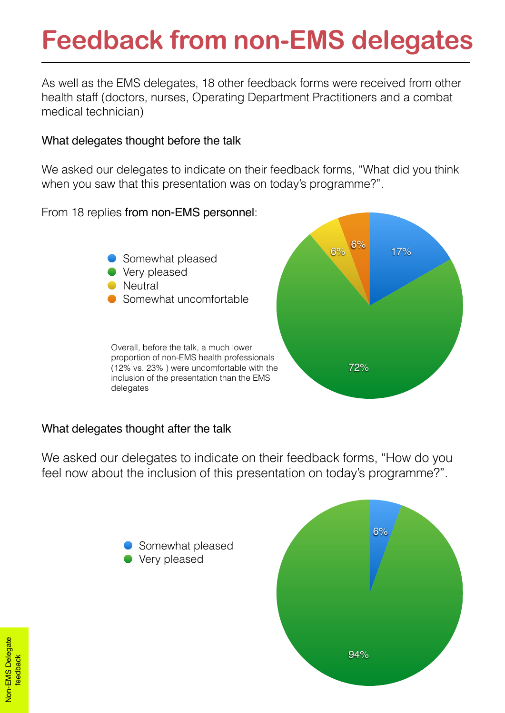# **Feedback from non-EMS delegates**

As well as the EMS delegates, 18 other feedback forms were received from other health staff (doctors, nurses, Operating Department Practitioners and a combat medical technician)

### What delegates thought before the talk

We asked our delegates to indicate on their feedback forms, "What did you think when you saw that this presentation was on today's programme?".

From 18 replies from non-EMS personnel:



### What delegates thought after the talk

We asked our delegates to indicate on their feedback forms, "How do you feel now about the inclusion of this presentation on today's programme?".



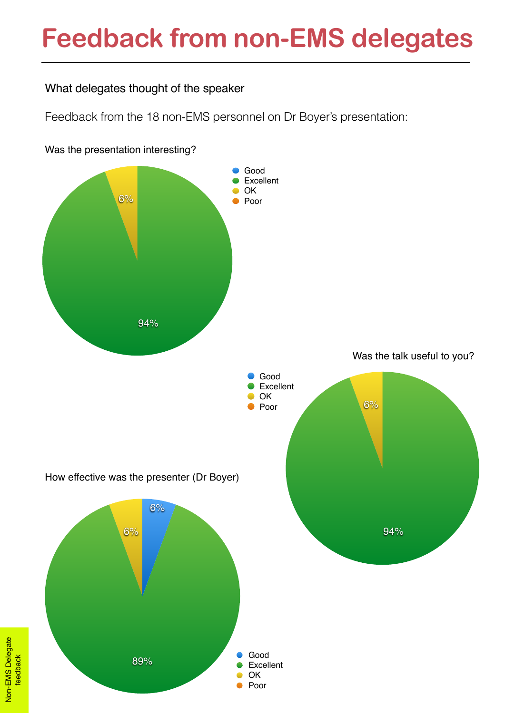### **Feedback from non-EMS delegates**

### What delegates thought of the speaker

Feedback from the 18 non-EMS personnel on Dr Boyer's presentation:



Was the presentation interesting?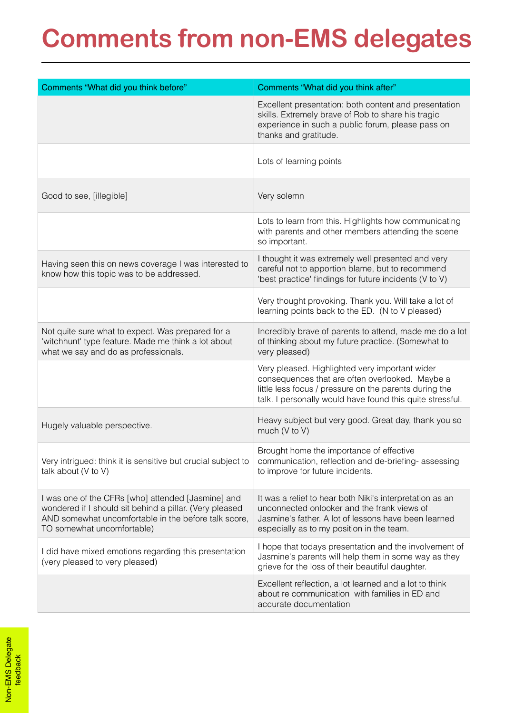# **Comments from non-EMS delegates**

| Comments "What did you think before"                                                                                                                                                                | Comments "What did you think after"                                                                                                                                                                                      |
|-----------------------------------------------------------------------------------------------------------------------------------------------------------------------------------------------------|--------------------------------------------------------------------------------------------------------------------------------------------------------------------------------------------------------------------------|
|                                                                                                                                                                                                     | Excellent presentation: both content and presentation<br>skills. Extremely brave of Rob to share his tragic<br>experience in such a public forum, please pass on<br>thanks and gratitude.                                |
|                                                                                                                                                                                                     | Lots of learning points                                                                                                                                                                                                  |
| Good to see, [illegible]                                                                                                                                                                            | Very solemn                                                                                                                                                                                                              |
|                                                                                                                                                                                                     | Lots to learn from this. Highlights how communicating<br>with parents and other members attending the scene<br>so important.                                                                                             |
| Having seen this on news coverage I was interested to<br>know how this topic was to be addressed.                                                                                                   | I thought it was extremely well presented and very<br>careful not to apportion blame, but to recommend<br>'best practice' findings for future incidents (V to V)                                                         |
|                                                                                                                                                                                                     | Very thought provoking. Thank you. Will take a lot of<br>learning points back to the ED. (N to V pleased)                                                                                                                |
| Not quite sure what to expect. Was prepared for a<br>'witchhunt' type feature. Made me think a lot about<br>what we say and do as professionals.                                                    | Incredibly brave of parents to attend, made me do a lot<br>of thinking about my future practice. (Somewhat to<br>very pleased)                                                                                           |
|                                                                                                                                                                                                     | Very pleased. Highlighted very important wider<br>consequences that are often overlooked. Maybe a<br>little less focus / pressure on the parents during the<br>talk. I personally would have found this quite stressful. |
| Hugely valuable perspective.                                                                                                                                                                        | Heavy subject but very good. Great day, thank you so<br>much (V to V)                                                                                                                                                    |
| Very intrigued: think it is sensitive but crucial subject to<br>talk about (V to V)                                                                                                                 | Brought home the importance of effective<br>communication, reflection and de-briefing-assessing<br>to improve for future incidents.                                                                                      |
| I was one of the CFRs [who] attended [Jasmine] and<br>wondered if I should sit behind a pillar. (Very pleased<br>AND somewhat uncomfortable in the before talk score,<br>TO somewhat uncomfortable) | It was a relief to hear both Niki's interpretation as an<br>unconnected onlooker and the frank views of<br>Jasmine's father. A lot of lessons have been learned<br>especially as to my position in the team.             |
| I did have mixed emotions regarding this presentation<br>(very pleased to very pleased)                                                                                                             | I hope that todays presentation and the involvement of<br>Jasmine's parents will help them in some way as they<br>grieve for the loss of their beautiful daughter.                                                       |
|                                                                                                                                                                                                     | Excellent reflection, a lot learned and a lot to think<br>about re communication with families in ED and<br>accurate documentation                                                                                       |